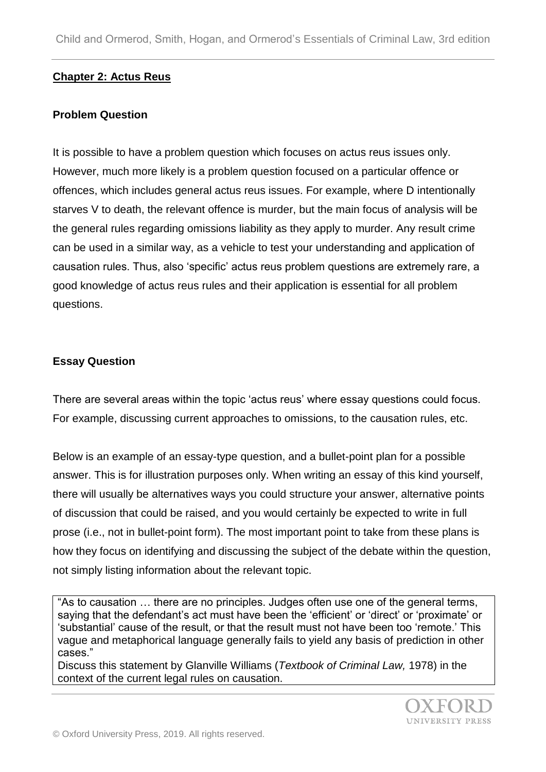### **Chapter 2: Actus Reus**

#### **Problem Question**

It is possible to have a problem question which focuses on actus reus issues only. However, much more likely is a problem question focused on a particular offence or offences, which includes general actus reus issues. For example, where D intentionally starves V to death, the relevant offence is murder, but the main focus of analysis will be the general rules regarding omissions liability as they apply to murder. Any result crime can be used in a similar way, as a vehicle to test your understanding and application of causation rules. Thus, also 'specific' actus reus problem questions are extremely rare, a good knowledge of actus reus rules and their application is essential for all problem questions.

### **Essay Question**

There are several areas within the topic 'actus reus' where essay questions could focus. For example, discussing current approaches to omissions, to the causation rules, etc.

Below is an example of an essay-type question, and a bullet-point plan for a possible answer. This is for illustration purposes only. When writing an essay of this kind yourself, there will usually be alternatives ways you could structure your answer, alternative points of discussion that could be raised, and you would certainly be expected to write in full prose (i.e., not in bullet-point form). The most important point to take from these plans is how they focus on identifying and discussing the subject of the debate within the question, not simply listing information about the relevant topic.

"As to causation … there are no principles. Judges often use one of the general terms, saying that the defendant's act must have been the 'efficient' or 'direct' or 'proximate' or 'substantial' cause of the result, or that the result must not have been too 'remote.' This vague and metaphorical language generally fails to yield any basis of prediction in other cases."

Discuss this statement by Glanville Williams (*Textbook of Criminal Law,* 1978) in the context of the current legal rules on causation.